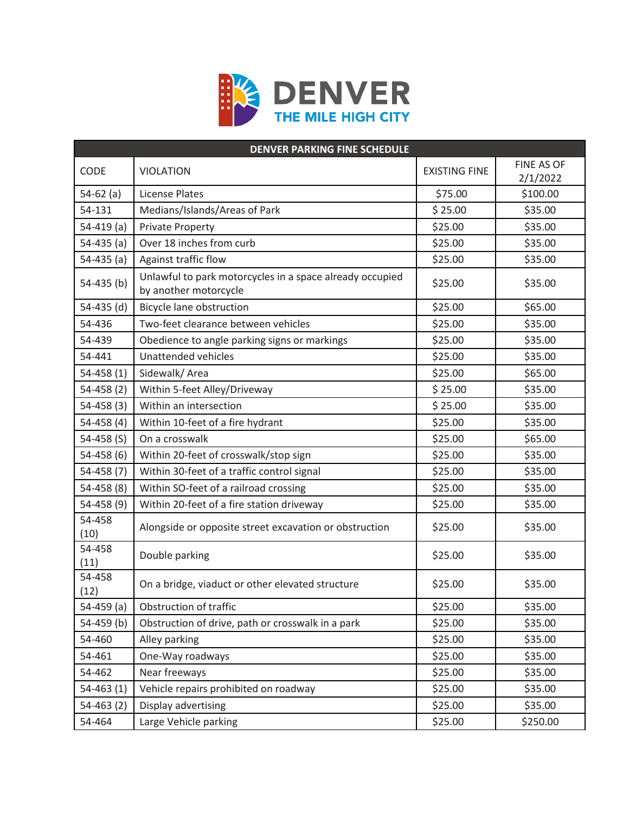

| <b>DENVER PARKING FINE SCHEDULE</b> |                                                                                   |                      |                        |  |
|-------------------------------------|-----------------------------------------------------------------------------------|----------------------|------------------------|--|
| <b>CODE</b>                         | <b>VIOLATION</b>                                                                  | <b>EXISTING FINE</b> | FINE AS OF<br>2/1/2022 |  |
| $54-62$ (a)                         | <b>License Plates</b>                                                             | \$75.00              | \$100.00               |  |
| 54-131                              | Medians/Islands/Areas of Park                                                     | \$25.00              | \$35.00                |  |
| $54-419$ (a)                        | <b>Private Property</b>                                                           | \$25.00              | \$35.00                |  |
| $54-435$ (a)                        | Over 18 inches from curb                                                          | \$25.00              | \$35.00                |  |
| $54-435$ (a)                        | Against traffic flow                                                              | \$25.00              | \$35.00                |  |
| 54-435 (b)                          | Unlawful to park motorcycles in a space already occupied<br>by another motorcycle | \$25.00              | \$35.00                |  |
| $54-435$ (d)                        | Bicycle lane obstruction                                                          | \$25.00              | \$65.00                |  |
| 54-436                              | Two-feet clearance between vehicles                                               | \$25.00              | \$35.00                |  |
| 54-439                              | Obedience to angle parking signs or markings                                      | \$25.00              | \$35.00                |  |
| 54-441                              | Unattended vehicles                                                               | \$25.00              | \$35.00                |  |
| $54-458(1)$                         | Sidewalk/Area                                                                     | \$25.00              | \$65.00                |  |
| $54 - 458(2)$                       | Within 5-feet Alley/Driveway                                                      | \$25.00              | \$35.00                |  |
| $54 - 458(3)$                       | Within an intersection                                                            | \$25.00              | \$35.00                |  |
| $54 - 458(4)$                       | Within 10-feet of a fire hydrant                                                  | \$25.00              | \$35.00                |  |
| 54-458 $(S)$                        | On a crosswalk                                                                    | \$25.00              | \$65.00                |  |
| $54 - 458(6)$                       | Within 20-feet of crosswalk/stop sign                                             | \$25.00              | \$35.00                |  |
| $54-458(7)$                         | Within 30-feet of a traffic control signal                                        | \$25.00              | \$35.00                |  |
| $54 - 458(8)$                       | Within SO-feet of a railroad crossing                                             | \$25.00              | \$35.00                |  |
| 54-458 (9)                          | Within 20-feet of a fire station driveway                                         | \$25.00              | \$35.00                |  |
| 54-458<br>(10)                      | Alongside or opposite street excavation or obstruction                            | \$25.00              | \$35.00                |  |
| 54-458<br>(11)                      | Double parking                                                                    | \$25.00              | \$35.00                |  |
| 54-458<br>(12)                      | On a bridge, viaduct or other elevated structure                                  | \$25.00              | \$35.00                |  |
| 54-459 (a)                          | Obstruction of traffic                                                            | \$25.00              | \$35.00                |  |
| 54-459 (b)                          | Obstruction of drive, path or crosswalk in a park                                 | \$25.00              | \$35.00                |  |
| 54-460                              | Alley parking                                                                     | \$25.00              | \$35.00                |  |
| 54-461                              | One-Way roadways                                                                  | \$25.00              | \$35.00                |  |
| 54-462                              | Near freeways                                                                     | \$25.00              | \$35.00                |  |
| $54-463(1)$                         | Vehicle repairs prohibited on roadway                                             | \$25.00              | \$35.00                |  |
| $54-463(2)$                         | Display advertising                                                               | \$25.00              | \$35.00                |  |
| 54-464                              | Large Vehicle parking                                                             | \$25.00              | \$250.00               |  |